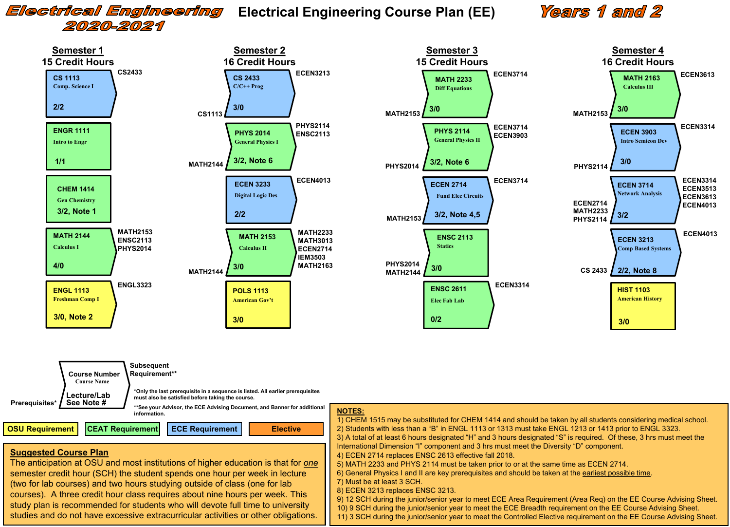## Electrical Engineering 2020-2021

### **Electrical Engineering Course Plan (EE)**

# **Years 1 and 2**





#### **Suggested Course Plan**

The anticipation at OSU and most institutions of higher education is that for *one* semester credit hour (SCH) the student spends one hour per week in lecture (two for lab courses) and two hours studying outside of class (one for lab courses). A three credit hour class requires about nine hours per week. This study plan is recommended for students who will devote full time to university studies and do not have excessive extracurricular activities or other obligations.

#### **NOTES:**

1) CHEM 1515 may be substituted for CHEM 1414 and should be taken by all students considering medical school. 2) Students with less than a "B" in ENGL 1113 or 1313 must take ENGL 1213 or 1413 prior to ENGL 3323. 3) A total of at least 6 hours designated "H" and 3 hours designated "S" is required. Of these, 3 hrs must meet the International Dimension "I" component and 3 hrs must meet the Diversity "D" component. 4) ECEN 2714 replaces ENSC 2613 effective fall 2018.

- 5) MATH 2233 and PHYS 2114 must be taken prior to or at the same time as ECEN 2714.
- 6) General Physics I and II are key prerequisites and should be taken at the earliest possible time.
- 7) Must be at least 3 SCH.
- 8) ECEN 3213 replaces ENSC 3213.

9) 12 SCH during the junior/senior year to meet ECE Area Requirement (Area Req) on the EE Course Advising Sheet. 10) 9 SCH during the junior/senior year to meet the ECE Breadth requirement on the EE Course Advising Sheet.

11) 3 SCH during the junior/senior year to meet the Controlled Elective requirement on the EE Course Advising Sheet.